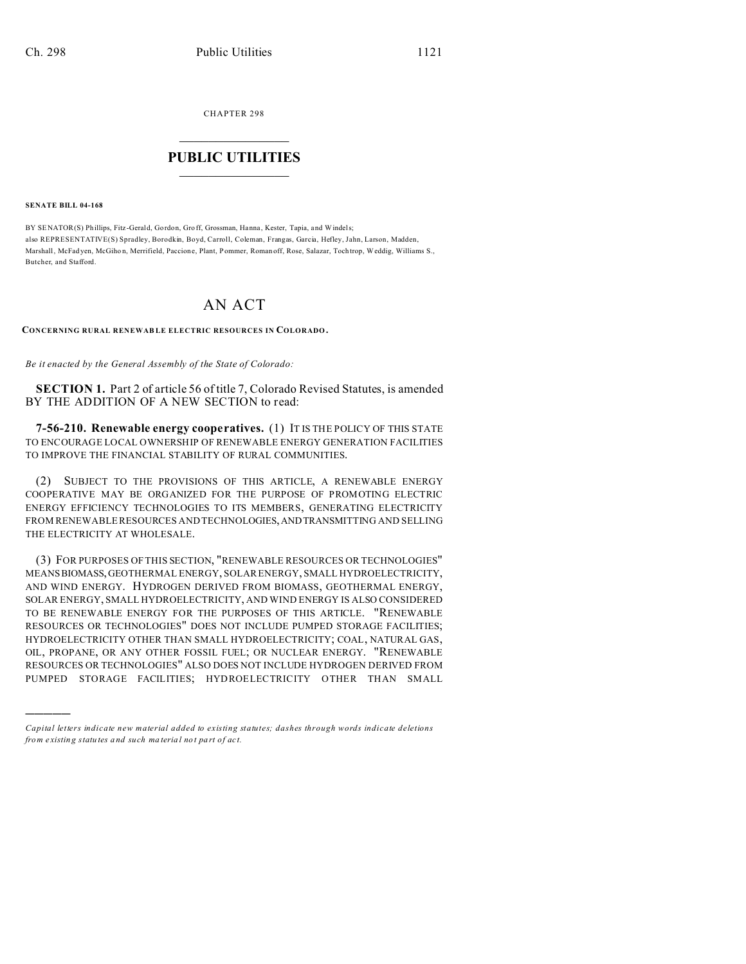CHAPTER 298  $\overline{\phantom{a}}$  , where  $\overline{\phantom{a}}$ 

## **PUBLIC UTILITIES**  $\frac{1}{\sqrt{2}}$  ,  $\frac{1}{\sqrt{2}}$  ,  $\frac{1}{\sqrt{2}}$  ,  $\frac{1}{\sqrt{2}}$  ,  $\frac{1}{\sqrt{2}}$  ,  $\frac{1}{\sqrt{2}}$

**SENATE BILL 04-168**

)))))

BY SENATOR(S) Phillips, Fitz-Gerald, Gordon, Groff, Grossman, Hanna, Kester, Tapia, and Windels; also REPRESENTATIVE(S) Spradley, Borodkin, Boyd, Carroll, Coleman, Frangas, Garcia, Hefley, Jahn, Larson, Madden, Marshall, McFad yen, McGiho n, Merrifield, Paccione, Plant, Pommer, Roman off, Rose, Salazar, Toch trop, Weddig, Williams S., Butcher, and Stafford.

## AN ACT

## **CONCERNING RURAL RENEWAB LE ELECTRIC RESOURCES IN COLORADO.**

*Be it enacted by the General Assembly of the State of Colorado:*

**SECTION 1.** Part 2 of article 56 of title 7, Colorado Revised Statutes, is amended BY THE ADDITION OF A NEW SECTION to read:

**7-56-210. Renewable energy cooperatives.** (1) IT IS THE POLICY OF THIS STATE TO ENCOURAGE LOCAL OWNERSHIP OF RENEWABLE ENERGY GENERATION FACILITIES TO IMPROVE THE FINANCIAL STABILITY OF RURAL COMMUNITIES.

(2) SUBJECT TO THE PROVISIONS OF THIS ARTICLE, A RENEWABLE ENERGY COOPERATIVE MAY BE ORGANIZED FOR THE PURPOSE OF PROMOTING ELECTRIC ENERGY EFFICIENCY TECHNOLOGIES TO ITS MEMBERS, GENERATING ELECTRICITY FROM RENEWABLE RESOURCES AND TECHNOLOGIES,ANDTRANSMITTING AND SELLING THE ELECTRICITY AT WHOLESALE.

(3) FOR PURPOSES OF THIS SECTION, "RENEWABLE RESOURCES OR TECHNOLOGIES" MEANSBIOMASS,GEOTHERMAL ENERGY, SOLAR ENERGY, SMALL HYDROELECTRICITY, AND WIND ENERGY. HYDROGEN DERIVED FROM BIOMASS, GEOTHERMAL ENERGY, SOLAR ENERGY, SMALL HYDROELECTRICITY, AND WIND ENERGY IS ALSO CONSIDERED TO BE RENEWABLE ENERGY FOR THE PURPOSES OF THIS ARTICLE. "RENEWABLE RESOURCES OR TECHNOLOGIES" DOES NOT INCLUDE PUMPED STORAGE FACILITIES; HYDROELECTRICITY OTHER THAN SMALL HYDROELECTRICITY; COAL, NATURAL GAS, OIL, PROPANE, OR ANY OTHER FOSSIL FUEL; OR NUCLEAR ENERGY. "RENEWABLE RESOURCES OR TECHNOLOGIES" ALSO DOES NOT INCLUDE HYDROGEN DERIVED FROM PUMPED STORAGE FACILITIES; HYDROELECTRICITY OTHER THAN SMALL

*Capital letters indicate new material added to existing statutes; dashes through words indicate deletions from e xistin g statu tes a nd such ma teria l no t pa rt of ac t.*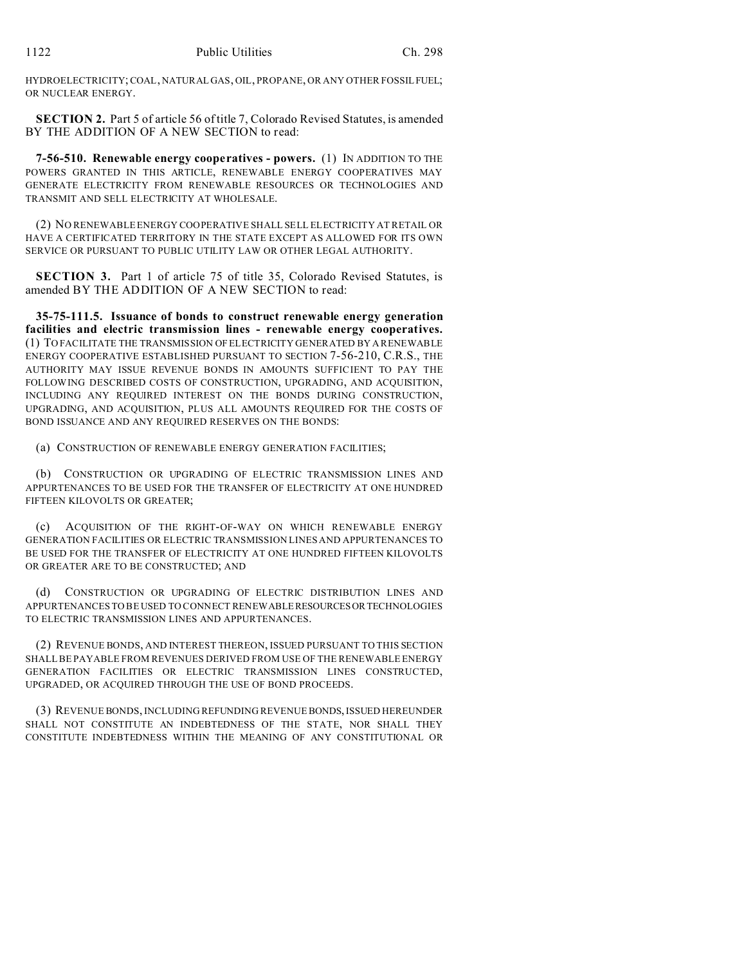HYDROELECTRICITY; COAL, NATURAL GAS, OIL, PROPANE, OR ANY OTHER FOSSILFUEL; OR NUCLEAR ENERGY.

**SECTION 2.** Part 5 of article 56 of title 7, Colorado Revised Statutes, is amended BY THE ADDITION OF A NEW SECTION to read:

**7-56-510. Renewable energy cooperatives - powers.** (1) IN ADDITION TO THE POWERS GRANTED IN THIS ARTICLE, RENEWABLE ENERGY COOPERATIVES MAY GENERATE ELECTRICITY FROM RENEWABLE RESOURCES OR TECHNOLOGIES AND TRANSMIT AND SELL ELECTRICITY AT WHOLESALE.

(2) NO RENEWABLE ENERGY COOPERATIVE SHALL SELL ELECTRICITY AT RETAIL OR HAVE A CERTIFICATED TERRITORY IN THE STATE EXCEPT AS ALLOWED FOR ITS OWN SERVICE OR PURSUANT TO PUBLIC UTILITY LAW OR OTHER LEGAL AUTHORITY.

**SECTION 3.** Part 1 of article 75 of title 35, Colorado Revised Statutes, is amended BY THE ADDITION OF A NEW SECTION to read:

**35-75-111.5. Issuance of bonds to construct renewable energy generation facilities and electric transmission lines - renewable energy cooperatives.** (1) TO FACILITATE THE TRANSMISSION OF ELECTRICITY GENERATED BY A RENEWABLE ENERGY COOPERATIVE ESTABLISHED PURSUANT TO SECTION 7-56-210, C.R.S., THE AUTHORITY MAY ISSUE REVENUE BONDS IN AMOUNTS SUFFICIENT TO PAY THE FOLLOWING DESCRIBED COSTS OF CONSTRUCTION, UPGRADING, AND ACQUISITION, INCLUDING ANY REQUIRED INTEREST ON THE BONDS DURING CONSTRUCTION, UPGRADING, AND ACQUISITION, PLUS ALL AMOUNTS REQUIRED FOR THE COSTS OF BOND ISSUANCE AND ANY REQUIRED RESERVES ON THE BONDS:

(a) CONSTRUCTION OF RENEWABLE ENERGY GENERATION FACILITIES;

(b) CONSTRUCTION OR UPGRADING OF ELECTRIC TRANSMISSION LINES AND APPURTENANCES TO BE USED FOR THE TRANSFER OF ELECTRICITY AT ONE HUNDRED FIFTEEN KILOVOLTS OR GREATER;

(c) ACQUISITION OF THE RIGHT-OF-WAY ON WHICH RENEWABLE ENERGY GENERATION FACILITIES OR ELECTRIC TRANSMISSION LINES AND APPURTENANCES TO BE USED FOR THE TRANSFER OF ELECTRICITY AT ONE HUNDRED FIFTEEN KILOVOLTS OR GREATER ARE TO BE CONSTRUCTED; AND

(d) CONSTRUCTION OR UPGRADING OF ELECTRIC DISTRIBUTION LINES AND APPURTENANCES TO BE USED TO CONNECT RENEWABLERESOURCESORTECHNOLOGIES TO ELECTRIC TRANSMISSION LINES AND APPURTENANCES.

(2) REVENUE BONDS, AND INTEREST THEREON, ISSUED PURSUANT TO THIS SECTION SHALL BE PAYABLE FROM REVENUES DERIVED FROM USE OF THE RENEWABLE ENERGY GENERATION FACILITIES OR ELECTRIC TRANSMISSION LINES CONSTRUCTED, UPGRADED, OR ACQUIRED THROUGH THE USE OF BOND PROCEEDS.

(3) REVENUE BONDS, INCLUDING REFUNDING REVENUE BONDS, ISSUED HEREUNDER SHALL NOT CONSTITUTE AN INDEBTEDNESS OF THE STATE, NOR SHALL THEY CONSTITUTE INDEBTEDNESS WITHIN THE MEANING OF ANY CONSTITUTIONAL OR